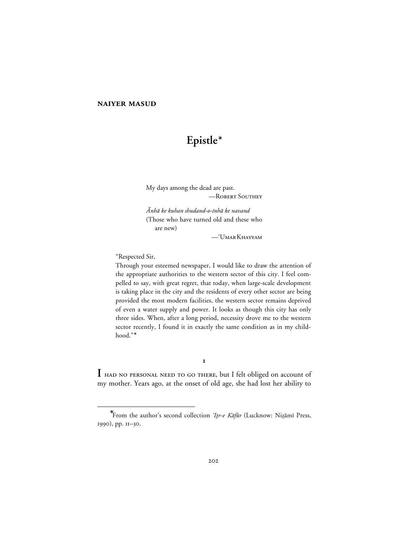## **NAIYER MASUD**

# **Epistle**<sup>∗</sup>

My days among the dead are past. -ROBERT SOUTHEY

Ānhā ke kuhan shudand-o-īnhā ke navand (Those who have turned old and these who are new)

— 'Uмаr Кнаүүам

"Respected Sir,

Through your esteemed newspaper, I would like to draw the attention of the appropriate authorities to the western sector of this city. I feel compelled to say, with great regret, that today, when large-scale development is taking place in the city and the residents of every other sector are being provided the most modern facilities, the western sector remains deprived of even a water supply and power. It looks as though this city has only three sides. When, after a long period, necessity drove me to the western sector recently, I found it in exactly the same condition as in my childhood."<sup>∗</sup>

 $\mathbf I$ 

I HAD NO PERSONAL NEED TO GO THERE, but I felt obliged on account of my mother. Years ago, at the onset of old age, she had lost her ability to

The author's second collection 'Itr-e Kāfūr (Lucknow: Nizāmī Press, 1990), pp. 11-30.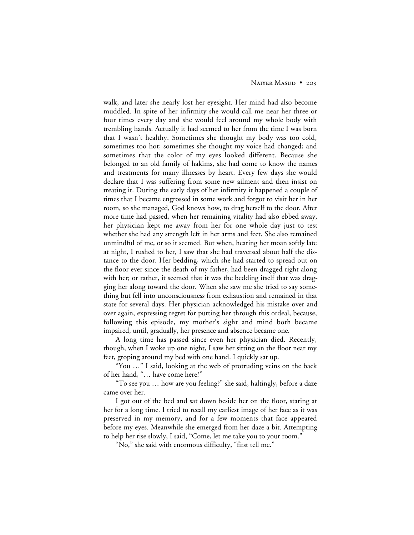walk, and later she nearly lost her eyesight. Her mind had also become muddled. In spite of her infirmity she would call me near her three or four times every day and she would feel around my whole body with trembling hands. Actually it had seemed to her from the time I was born that I wasn't healthy. Sometimes she thought my body was too cold, sometimes too hot; sometimes she thought my voice had changed; and sometimes that the color of my eyes looked different. Because she belonged to an old family of hakims, she had come to know the names and treatments for many illnesses by heart. Every few days she would declare that I was suffering from some new ailment and then insist on treating it. During the early days of her infirmity it happened a couple of times that I became engrossed in some work and forgot to visit her in her room, so she managed, God knows how, to drag herself to the door. After more time had passed, when her remaining vitality had also ebbed away, her physician kept me away from her for one whole day just to test whether she had any strength left in her arms and feet. She also remained unmindful of me, or so it seemed. But when, hearing her moan softly late at night, I rushed to her, I saw that she had traversed about half the distance to the door. Her bedding, which she had started to spread out on the floor ever since the death of my father, had been dragged right along with her; or rather, it seemed that it was the bedding itself that was dragging her along toward the door. When she saw me she tried to say something but fell into unconsciousness from exhaustion and remained in that state for several days. Her physician acknowledged his mistake over and over again, expressing regret for putting her through this ordeal, because, following this episode, my mother's sight and mind both became impaired, until, gradually, her presence and absence became one.

A long time has passed since even her physician died. Recently, though, when I woke up one night, I saw her sitting on the floor near my feet, groping around my bed with one hand. I quickly sat up.

"You …" I said, looking at the web of protruding veins on the back of her hand, "… have come here?"

"To see you … how are you feeling?" she said, haltingly, before a daze came over her.

I got out of the bed and sat down beside her on the floor, staring at her for a long time. I tried to recall my earliest image of her face as it was preserved in my memory, and for a few moments that face appeared before my eyes. Meanwhile she emerged from her daze a bit. Attempting to help her rise slowly, I said, "Come, let me take you to your room."

"No," she said with enormous difficulty, "first tell me."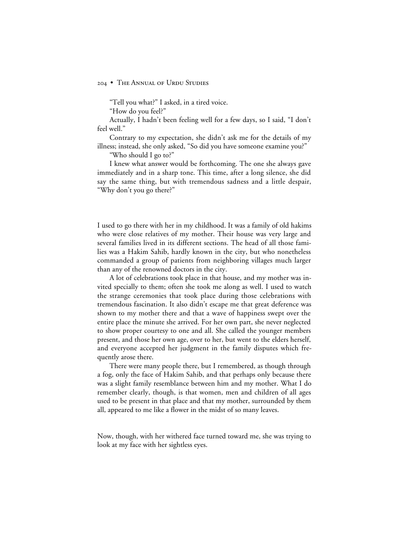"Tell you what?" I asked, in a tired voice.

"How do you feel?"

Actually, I hadn't been feeling well for a few days, so I said, "I don't feel well."

Contrary to my expectation, she didn't ask me for the details of my illness; instead, she only asked, "So did you have someone examine you?"

"Who should I go to?"

I knew what answer would be forthcoming. The one she always gave immediately and in a sharp tone. This time, after a long silence, she did say the same thing, but with tremendous sadness and a little despair, "Why don't you go there?"

I used to go there with her in my childhood. It was a family of old hakims who were close relatives of my mother. Their house was very large and several families lived in its different sections. The head of all those families was a Hakim Sahib, hardly known in the city, but who nonetheless commanded a group of patients from neighboring villages much larger than any of the renowned doctors in the city.

A lot of celebrations took place in that house, and my mother was invited specially to them; often she took me along as well. I used to watch the strange ceremonies that took place during those celebrations with tremendous fascination. It also didn't escape me that great deference was shown to my mother there and that a wave of happiness swept over the entire place the minute she arrived. For her own part, she never neglected to show proper courtesy to one and all. She called the younger members present, and those her own age, over to her, but went to the elders herself, and everyone accepted her judgment in the family disputes which frequently arose there.

There were many people there, but I remembered, as though through a fog, only the face of Hakim Sahib, and that perhaps only because there was a slight family resemblance between him and my mother. What I do remember clearly, though, is that women, men and children of all ages used to be present in that place and that my mother, surrounded by them all, appeared to me like a flower in the midst of so many leaves.

Now, though, with her withered face turned toward me, she was trying to look at my face with her sightless eyes.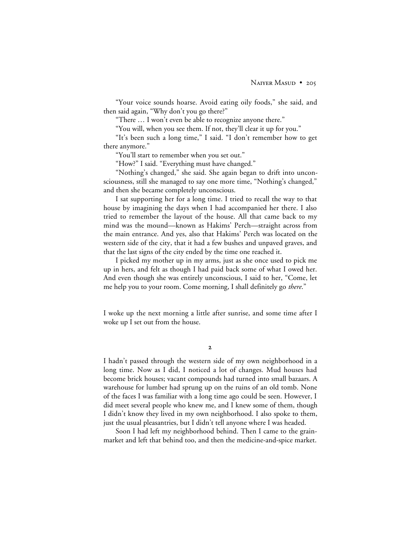"Your voice sounds hoarse. Avoid eating oily foods," she said, and then said again, "Why don't you go there?"

"There … I won't even be able to recognize anyone there."

"You will, when you see them. If not, they'll clear it up for you."

"It's been such a long time," I said. "I don't remember how to get there anymore."

"You'll start to remember when you set out."

"How?" I said. "Everything must have changed."

"Nothing's changed," she said. She again began to drift into unconsciousness, still she managed to say one more time, "Nothing's changed," and then she became completely unconscious.

I sat supporting her for a long time. I tried to recall the way to that house by imagining the days when I had accompanied her there. I also tried to remember the layout of the house. All that came back to my mind was the mound—known as Hakims' Perch—straight across from the main entrance. And yes, also that Hakims' Perch was located on the western side of the city, that it had a few bushes and unpaved graves, and that the last signs of the city ended by the time one reached it.

I picked my mother up in my arms, just as she once used to pick me up in hers, and felt as though I had paid back some of what I owed her. And even though she was entirely unconscious, I said to her, "Come, let me help you to your room. Come morning, I shall definitely go *there*."

I woke up the next morning a little after sunrise, and some time after I woke up I set out from the house.

 $\overline{2}$ 

I hadn't passed through the western side of my own neighborhood in a long time. Now as I did, I noticed a lot of changes. Mud houses had become brick houses; vacant compounds had turned into small bazaars. A warehouse for lumber had sprung up on the ruins of an old tomb. None of the faces I was familiar with a long time ago could be seen. However, I did meet several people who knew me, and I knew some of them, though I didn't know they lived in my own neighborhood. I also spoke to them, just the usual pleasantries, but I didn't tell anyone where I was headed.

Soon I had left my neighborhood behind. Then I came to the grainmarket and left that behind too, and then the medicine-and-spice market.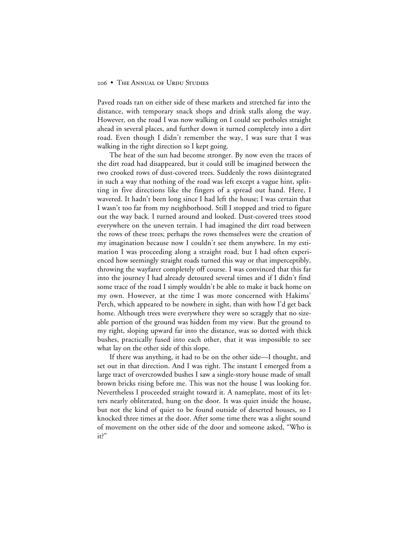Paved roads ran on either side of these markets and stretched far into the distance, with temporary snack shops and drink stalls along the way. However, on the road I was now walking on I could see potholes straight ahead in several places, and further down it turned completely into a dirt road. Even though I didn't remember the way, I was sure that I was walking in the right direction so I kept going.

The heat of the sun had become stronger. By now even the traces of the dirt road had disappeared, but it could still be imagined between the two crooked rows of dust-covered trees. Suddenly the rows disintegrated in such a way that nothing of the road was left except a vague hint, splitting in five directions like the fingers of a spread out hand. Here, I wavered. It hadn't been long since I had left the house; I was certain that I wasn't too far from my neighborhood. Still I stopped and tried to figure out the way back. I turned around and looked. Dust-covered trees stood everywhere on the uneven terrain. I had imagined the dirt road between the rows of these trees; perhaps the rows themselves were the creation of my imagination because now I couldn't see them anywhere. In my estimation I was proceeding along a straight road, but I had often experienced how seemingly straight roads turned this way or that imperceptibly, throwing the wayfarer completely off course. I was convinced that this far into the journey I had already detoured several times and if I didn't find some trace of the road I simply wouldn't be able to make it back home on my own. However, at the time I was more concerned with Hakims' Perch, which appeared to be nowhere in sight, than with how I'd get back home. Although trees were everywhere they were so scraggly that no sizeable portion of the ground was hidden from my view. But the ground to my right, sloping upward far into the distance, was so dotted with thick bushes, practically fused into each other, that it was impossible to see what lay on the other side of this slope.

If there was anything, it had to be on the other side—I thought, and set out in that direction. And I was right. The instant I emerged from a large tract of overcrowded bushes I saw a single-story house made of small brown bricks rising before me. This was not the house I was looking for. Nevertheless I proceeded straight toward it. A nameplate, most of its letters nearly obliterated, hung on the door. It was quiet inside the house, but not the kind of quiet to be found outside of deserted houses, so I knocked three times at the door. After some time there was a slight sound of movement on the other side of the door and someone asked, "Who is it?"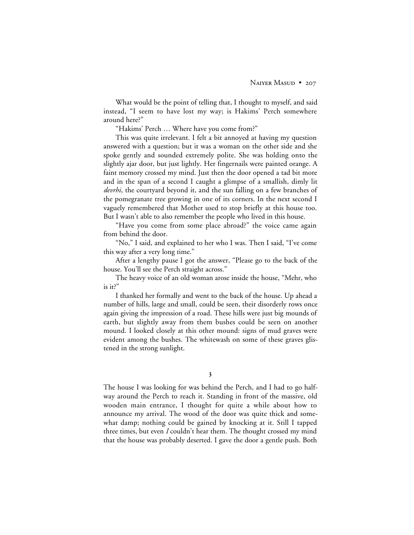What would be the point of telling that, I thought to myself, and said instead, "I seem to have lost my way; is Hakims' Perch somewhere around here?"

"Hakims' Perch … Where have you come from?"

This was quite irrelevant. I felt a bit annoyed at having my question answered with a question; but it was a woman on the other side and she spoke gently and sounded extremely polite. She was holding onto the slightly ajar door, but just lightly. Her fingernails were painted orange. A faint memory crossed my mind. Just then the door opened a tad bit more and in the span of a second I caught a glimpse of a smallish, dimly lit *devrhi*, the courtyard beyond it, and the sun falling on a few branches of the pomegranate tree growing in one of its corners. In the next second I vaguely remembered that Mother used to stop briefly at this house too. But I wasn't able to also remember the people who lived in this house.

"Have you come from some place abroad?" the voice came again from behind the door.

"No," I said, and explained to her who I was. Then I said, "I've come this way after a very long time."

After a lengthy pause I got the answer, "Please go to the back of the house. You'll see the Perch straight across."

The heavy voice of an old woman arose inside the house, "Mehr, who is it?"

I thanked her formally and went to the back of the house. Up ahead a number of hills, large and small, could be seen, their disorderly rows once again giving the impression of a road. These hills were just big mounds of earth, but slightly away from them bushes could be seen on another mound. I looked closely at this other mound: signs of mud graves were evident among the bushes. The whitewash on some of these graves glistened in the strong sunlight.

The house I was looking for was behind the Perch, and I had to go halfway around the Perch to reach it. Standing in front of the massive, old wooden main entrance, I thought for quite a while about how to announce my arrival. The wood of the door was quite thick and somewhat damp; nothing could be gained by knocking at it. Still I tapped three times, but even *I* couldn't hear them. The thought crossed my mind that the house was probably deserted. I gave the door a gentle push. Both

 $\overline{\mathbf{3}}$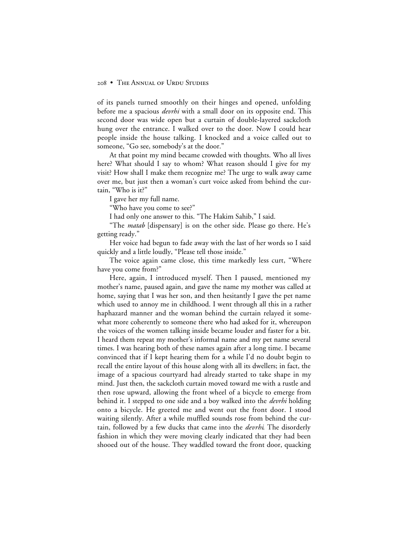of its panels turned smoothly on their hinges and opened, unfolding before me a spacious *devrhi* with a small door on its opposite end. This second door was wide open but a curtain of double-layered sackcloth hung over the entrance. I walked over to the door. Now I could hear people inside the house talking. I knocked and a voice called out to someone, "Go see, somebody's at the door."

At that point my mind became crowded with thoughts. Who all lives here? What should I say to whom? What reason should I give for my visit? How shall I make them recognize me? The urge to walk away came over me, but just then a woman's curt voice asked from behind the curtain, "Who is it?"

I gave her my full name.

"Who have you come to see?"

I had only one answer to this. "The Hakim Sahib," I said.

"The *matab* [dispensary] is on the other side. Please go there. He's getting ready."

Her voice had begun to fade away with the last of her words so I said quickly and a little loudly, "Please tell those inside."

The voice again came close, this time markedly less curt, "Where have you come from?"

Here, again, I introduced myself. Then I paused, mentioned my mother's name, paused again, and gave the name my mother was called at home, saying that I was her son, and then hesitantly I gave the pet name which used to annoy me in childhood. I went through all this in a rather haphazard manner and the woman behind the curtain relayed it somewhat more coherently to someone there who had asked for it, whereupon the voices of the women talking inside became louder and faster for a bit. I heard them repeat my mother's informal name and my pet name several times. I was hearing both of these names again after a long time. I became convinced that if I kept hearing them for a while I'd no doubt begin to recall the entire layout of this house along with all its dwellers; in fact, the image of a spacious courtyard had already started to take shape in my mind. Just then, the sackcloth curtain moved toward me with a rustle and then rose upward, allowing the front wheel of a bicycle to emerge from behind it. I stepped to one side and a boy walked into the *devrhi* holding onto a bicycle. He greeted me and went out the front door. I stood waiting silently. After a while muffled sounds rose from behind the curtain, followed by a few ducks that came into the *devrhi*. The disorderly fashion in which they were moving clearly indicated that they had been shooed out of the house. They waddled toward the front door, quacking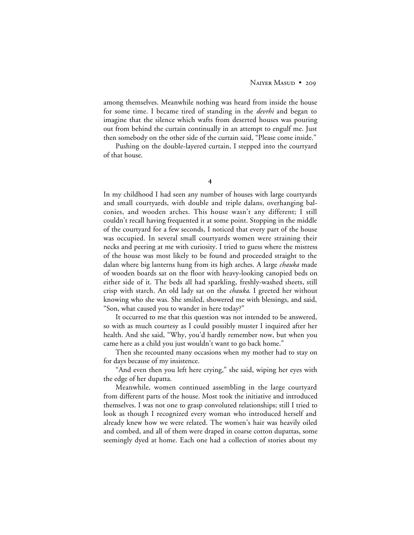among themselves. Meanwhile nothing was heard from inside the house for some time. I became tired of standing in the *devrhi* and began to imagine that the silence which wafts from deserted houses was pouring out from behind the curtain continually in an attempt to engulf me. Just then somebody on the other side of the curtain said, "Please come inside."

Pushing on the double-layered curtain, I stepped into the courtyard of that house.

 $\overline{\mathbf{4}}$ 

In my childhood I had seen any number of houses with large courtyards and small courtyards, with double and triple dalans, overhanging balconies, and wooden arches. This house wasn't any different; I still couldn't recall having frequented it at some point. Stopping in the middle of the courtyard for a few seconds, I noticed that every part of the house was occupied. In several small courtyards women were straining their necks and peering at me with curiosity. I tried to guess where the mistress of the house was most likely to be found and proceeded straight to the dalan where big lanterns hung from its high arches. A large *chauka* made of wooden boards sat on the floor with heavy-looking canopied beds on either side of it. The beds all had sparkling, freshly-washed sheets, still crisp with starch. An old lady sat on the *chauka*. I greeted her without knowing who she was. She smiled, showered me with blessings, and said, "Son, what caused you to wander in here today?"

It occurred to me that this question was not intended to be answered, so with as much courtesy as I could possibly muster I inquired after her health. And she said, "Why, you'd hardly remember now, but when you came here as a child you just wouldn't want to go back home."

Then she recounted many occasions when my mother had to stay on for days because of my insistence.

"And even then you left here crying," she said, wiping her eyes with the edge of her dupatta.

Meanwhile, women continued assembling in the large courtyard from different parts of the house. Most took the initiative and introduced themselves. I was not one to grasp convoluted relationships; still I tried to look as though I recognized every woman who introduced herself and already knew how we were related. The women's hair was heavily oiled and combed, and all of them were draped in coarse cotton dupattas, some seemingly dyed at home. Each one had a collection of stories about my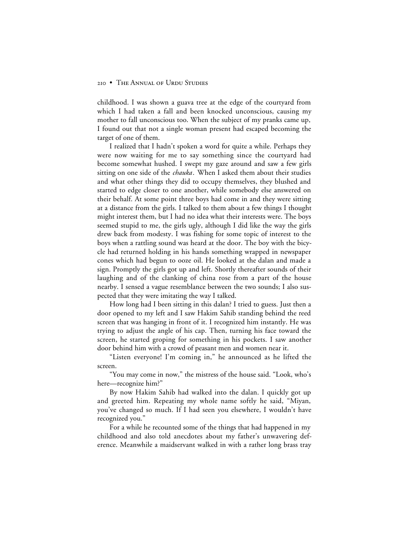childhood. I was shown a guava tree at the edge of the courtyard from which I had taken a fall and been knocked unconscious, causing my mother to fall unconscious too. When the subject of my pranks came up, I found out that not a single woman present had escaped becoming the target of one of them.

I realized that I hadn't spoken a word for quite a while. Perhaps they were now waiting for me to say something since the courtyard had become somewhat hushed. I swept my gaze around and saw a few girls sitting on one side of the *chauka*. When I asked them about their studies and what other things they did to occupy themselves, they blushed and started to edge closer to one another, while somebody else answered on their behalf. At some point three boys had come in and they were sitting at a distance from the girls. I talked to them about a few things I thought might interest them, but I had no idea what their interests were. The boys seemed stupid to me, the girls ugly, although I did like the way the girls drew back from modesty. I was fishing for some topic of interest to the boys when a rattling sound was heard at the door. The boy with the bicycle had returned holding in his hands something wrapped in newspaper cones which had begun to ooze oil. He looked at the dalan and made a sign. Promptly the girls got up and left. Shortly thereafter sounds of their laughing and of the clanking of china rose from a part of the house nearby. I sensed a vague resemblance between the two sounds; I also suspected that they were imitating the way I talked.

How long had I been sitting in this dalan? I tried to guess. Just then a door opened to my left and I saw Hakim Sahib standing behind the reed screen that was hanging in front of it. I recognized him instantly. He was trying to adjust the angle of his cap. Then, turning his face toward the screen, he started groping for something in his pockets. I saw another door behind him with a crowd of peasant men and women near it.

"Listen everyone! I'm coming in," he announced as he lifted the screen.

"You may come in now," the mistress of the house said. "Look, who's here—recognize him?"

By now Hakim Sahib had walked into the dalan. I quickly got up and greeted him. Repeating my whole name softly he said, "Miyan, you've changed so much. If I had seen you elsewhere, I wouldn't have recognized you."

For a while he recounted some of the things that had happened in my childhood and also told anecdotes about my father's unwavering deference. Meanwhile a maidservant walked in with a rather long brass tray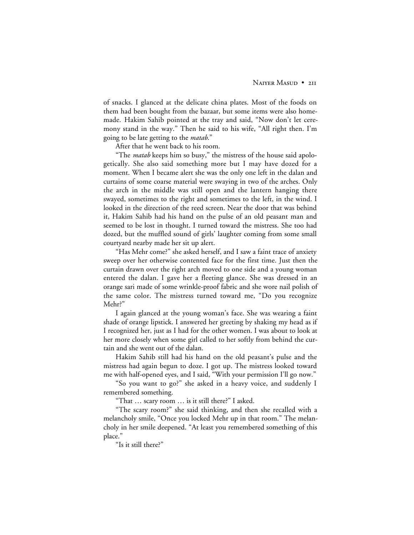of snacks. I glanced at the delicate china plates. Most of the foods on them had been bought from the bazaar, but some items were also homemade. Hakim Sahib pointed at the tray and said, "Now don't let ceremony stand in the way." Then he said to his wife, "All right then. I'm going to be late getting to the *matab*."

After that he went back to his room.

"The *matab* keeps him so busy," the mistress of the house said apologetically. She also said something more but I may have dozed for a moment. When I became alert she was the only one left in the dalan and curtains of some coarse material were swaying in two of the arches. Only the arch in the middle was still open and the lantern hanging there swayed, sometimes to the right and sometimes to the left, in the wind. I looked in the direction of the reed screen. Near the door that was behind it, Hakim Sahib had his hand on the pulse of an old peasant man and seemed to be lost in thought. I turned toward the mistress. She too had dozed, but the muffled sound of girls' laughter coming from some small courtyard nearby made her sit up alert.

"Has Mehr come?" she asked herself, and I saw a faint trace of anxiety sweep over her otherwise contented face for the first time. Just then the curtain drawn over the right arch moved to one side and a young woman entered the dalan. I gave her a fleeting glance. She was dressed in an orange sari made of some wrinkle-proof fabric and she wore nail polish of the same color. The mistress turned toward me, "Do you recognize Mehr?"

I again glanced at the young woman's face. She was wearing a faint shade of orange lipstick. I answered her greeting by shaking my head as if I recognized her, just as I had for the other women. I was about to look at her more closely when some girl called to her softly from behind the curtain and she went out of the dalan.

Hakim Sahib still had his hand on the old peasant's pulse and the mistress had again begun to doze. I got up. The mistress looked toward me with half-opened eyes, and I said, "With your permission I'll go now."

"So you want to go?" she asked in a heavy voice, and suddenly I remembered something.

"That … scary room … is it still there?" I asked.

"The scary room?" she said thinking, and then she recalled with a melancholy smile, "Once you locked Mehr up in that room." The melancholy in her smile deepened. "At least you remembered something of this place."

"Is it still there?"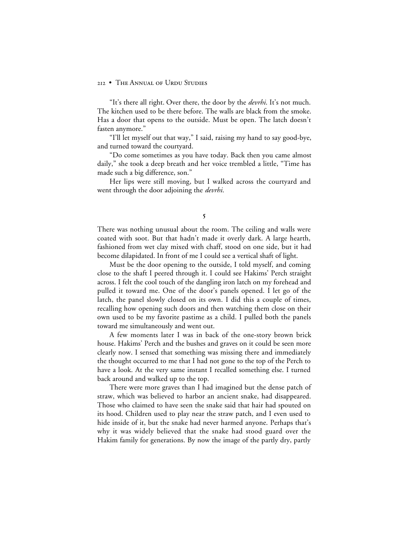"It's there all right. Over there, the door by the *devrhi*. It's not much. The kitchen used to be there before. The walls are black from the smoke. Has a door that opens to the outside. Must be open. The latch doesn't fasten anymore."

"I'll let myself out that way," I said, raising my hand to say good-bye, and turned toward the courtyard.

"Do come sometimes as you have today. Back then you came almost daily," she took a deep breath and her voice trembled a little, "Time has made such a big difference, son."

Her lips were still moving, but I walked across the courtyard and went through the door adjoining the *devrhi*.

There was nothing unusual about the room. The ceiling and walls were coated with soot. But that hadn't made it overly dark. A large hearth, fashioned from wet clay mixed with chaff, stood on one side, but it had become dilapidated. In front of me I could see a vertical shaft of light.

Must be the door opening to the outside, I told myself, and coming close to the shaft I peered through it. I could see Hakims' Perch straight across. I felt the cool touch of the dangling iron latch on my forehead and pulled it toward me. One of the door's panels opened. I let go of the latch, the panel slowly closed on its own. I did this a couple of times, recalling how opening such doors and then watching them close on their own used to be my favorite pastime as a child. I pulled both the panels toward me simultaneously and went out.

A few moments later I was in back of the one-story brown brick house. Hakims' Perch and the bushes and graves on it could be seen more clearly now. I sensed that something was missing there and immediately the thought occurred to me that I had not gone to the top of the Perch to have a look. At the very same instant I recalled something else. I turned back around and walked up to the top.

There were more graves than I had imagined but the dense patch of straw, which was believed to harbor an ancient snake, had disappeared. Those who claimed to have seen the snake said that hair had spouted on its hood. Children used to play near the straw patch, and I even used to hide inside of it, but the snake had never harmed anyone. Perhaps that's why it was widely believed that the snake had stood guard over the Hakim family for generations. By now the image of the partly dry, partly

<sup>5</sup>